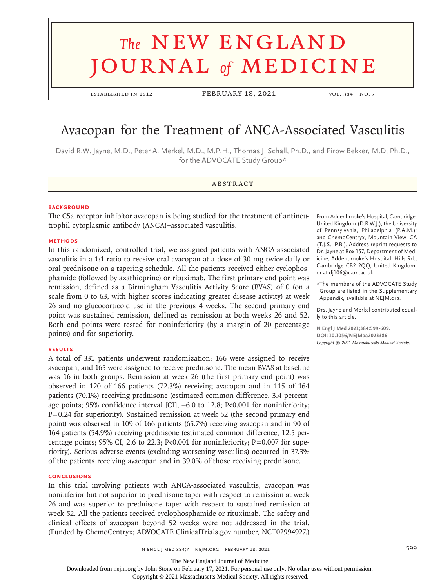# **The NEW ENGLAND** journal *of* medicine

ESTABLISHED IN 1812 FEBRUARY 18, 2021 VOL. 384 NO. 7

## Avacopan for the Treatment of ANCA-Associated Vasculitis

David R.W. Jayne, M.D., Peter A. Merkel, M.D., M.P.H., Thomas J. Schall, Ph.D., and Pirow Bekker, M.D, Ph.D., for the ADVOCATE Study Group\*

#### **ABSTRACT**

#### **BACKGROUND**

The C5a receptor inhibitor avacopan is being studied for the treatment of antineutrophil cytoplasmic antibody (ANCA)–associated vasculitis.

#### **METHODS**

In this randomized, controlled trial, we assigned patients with ANCA-associated vasculitis in a 1:1 ratio to receive oral avacopan at a dose of 30 mg twice daily or oral prednisone on a tapering schedule. All the patients received either cyclophosphamide (followed by azathioprine) or rituximab. The first primary end point was remission, defined as a Birmingham Vasculitis Activity Score (BVAS) of 0 (on a scale from 0 to 63, with higher scores indicating greater disease activity) at week 26 and no glucocorticoid use in the previous 4 weeks. The second primary end point was sustained remission, defined as remission at both weeks 26 and 52. Both end points were tested for noninferiority (by a margin of 20 percentage points) and for superiority.

#### **RESULTS**

A total of 331 patients underwent randomization; 166 were assigned to receive avacopan, and 165 were assigned to receive prednisone. The mean BVAS at baseline was 16 in both groups. Remission at week 26 (the first primary end point) was observed in 120 of 166 patients (72.3%) receiving avacopan and in 115 of 164 patients (70.1%) receiving prednisone (estimated common difference, 3.4 percentage points; 95% confidence interval [CI], −6.0 to 12.8; P<0.001 for noninferiority; P=0.24 for superiority). Sustained remission at week 52 (the second primary end point) was observed in 109 of 166 patients (65.7%) receiving avacopan and in 90 of 164 patients (54.9%) receiving prednisone (estimated common difference, 12.5 percentage points; 95% CI, 2.6 to 22.3; P<0.001 for noninferiority;  $P=0.007$  for superiority). Serious adverse events (excluding worsening vasculitis) occurred in 37.3% of the patients receiving avacopan and in 39.0% of those receiving prednisone.

#### **CONCLUSIONS**

In this trial involving patients with ANCA-associated vasculitis, avacopan was noninferior but not superior to prednisone taper with respect to remission at week 26 and was superior to prednisone taper with respect to sustained remission at week 52. All the patients received cyclophosphamide or rituximab. The safety and clinical effects of avacopan beyond 52 weeks were not addressed in the trial. (Funded by ChemoCentryx; ADVOCATE ClinicalTrials.gov number, NCT02994927.)

From Addenbrooke's Hospital, Cambridge, United Kingdom (D.R.W.J.); the University of Pennsylvania, Philadelphia (P.A.M.); and ChemoCentryx, Mountain View, CA (T.J.S., P.B.). Address reprint requests to Dr. Jayne at Box 157, Department of Medicine, Addenbrooke's Hospital, Hills Rd., Cambridge CB2 2QQ, United Kingdom, or at dj106@cam.ac.uk.

\*The members of the ADVOCATE Study Group are listed in the Supplementary Appendix, available at NEJM.org.

Drs. Jayne and Merkel contributed equally to this article.

**N Engl J Med 2021;384:599-609. DOI: 10.1056/NEJMoa2023386** *Copyright © 2021 Massachusetts Medical Society.*

The New England Journal of Medicine

Downloaded from nejm.org by John Stone on February 17, 2021. For personal use only. No other uses without permission.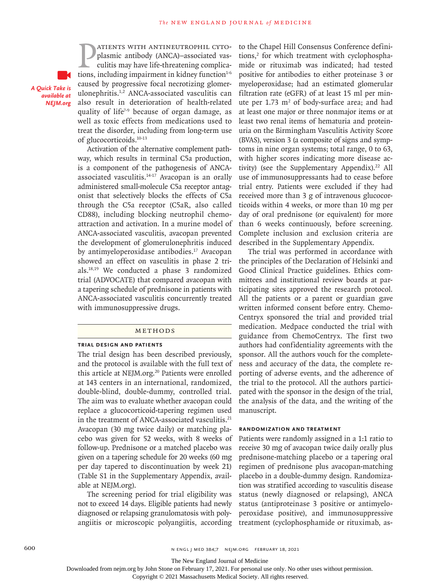**PATIENTS WITH ANTINEUTROPHIL CYTO-**<br>plasmic antibody (ANCA)-associated vas-<br>culitis may have life-threatening complica-<br>tions. including impairment in kidney function<sup>1-6</sup> plasmic antibody (ANCA)–associated vasculitis may have life-threatening complications, including impairment in kidney function $1-6$ caused by progressive focal necrotizing glomerulonephritis.1,2 ANCA-associated vasculitis can also result in deterioration of health-related quality of life<sup> $7-9$ </sup> because of organ damage, as well as toxic effects from medications used to treat the disorder, including from long-term use of glucocorticoids.10-13

*A Quick Take is available at NEJM.org*

> Activation of the alternative complement pathway, which results in terminal C5a production, is a component of the pathogenesis of ANCAassociated vasculitis.14-17 Avacopan is an orally administered small-molecule C5a receptor antagonist that selectively blocks the effects of C5a through the C5a receptor (C5aR, also called CD88), including blocking neutrophil chemoattraction and activation. In a murine model of ANCA-associated vasculitis, avacopan prevented the development of glomerulonephritis induced by antimyeloperoxidase antibodies.<sup>17</sup> Avacopan showed an effect on vasculitis in phase 2 trials.18,19 We conducted a phase 3 randomized trial (ADVOCATE) that compared avacopan with a tapering schedule of prednisone in patients with ANCA-associated vasculitis concurrently treated with immunosuppressive drugs.

#### Methods

#### **Trial Design and Patients**

The trial design has been described previously, and the protocol is available with the full text of this article at NEJM.org.<sup>20</sup> Patients were enrolled at 143 centers in an international, randomized, double-blind, double-dummy, controlled trial. The aim was to evaluate whether avacopan could replace a glucocorticoid-tapering regimen used in the treatment of ANCA-associated vasculitis.<sup>21</sup> Avacopan (30 mg twice daily) or matching placebo was given for 52 weeks, with 8 weeks of follow-up. Prednisone or a matched placebo was given on a tapering schedule for 20 weeks (60 mg per day tapered to discontinuation by week 21) (Table S1 in the Supplementary Appendix, available at NEJM.org).

The screening period for trial eligibility was not to exceed 14 days. Eligible patients had newly diagnosed or relapsing granulomatosis with polyangiitis or microscopic polyangiitis, according to the Chapel Hill Consensus Conference definitions,<sup>2</sup> for which treatment with cyclophosphamide or rituximab was indicated; had tested positive for antibodies to either proteinase 3 or myeloperoxidase; had an estimated glomerular filtration rate (eGFR) of at least 15 ml per minute per  $1.73 \text{ m}^2$  of body-surface area; and had at least one major or three nonmajor items or at least two renal items of hematuria and proteinuria on the Birmingham Vasculitis Activity Score (BVAS), version 3 (a composite of signs and symptoms in nine organ systems; total range, 0 to 63, with higher scores indicating more disease activity) (see the Supplementary Appendix).<sup>22</sup> All use of immunosuppressants had to cease before trial entry. Patients were excluded if they had received more than 3 g of intravenous glucocorticoids within 4 weeks, or more than 10 mg per day of oral prednisone (or equivalent) for more than 6 weeks continuously, before screening. Complete inclusion and exclusion criteria are described in the Supplementary Appendix.

The trial was performed in accordance with the principles of the Declaration of Helsinki and Good Clinical Practice guidelines. Ethics committees and institutional review boards at participating sites approved the research protocol. All the patients or a parent or guardian gave written informed consent before entry. Chemo-Centryx sponsored the trial and provided trial medication. Medpace conducted the trial with guidance from ChemoCentryx. The first two authors had confidentiality agreements with the sponsor. All the authors vouch for the completeness and accuracy of the data, the complete reporting of adverse events, and the adherence of the trial to the protocol. All the authors participated with the sponsor in the design of the trial, the analysis of the data, and the writing of the manuscript.

#### **Randomization and Treatment**

Patients were randomly assigned in a 1:1 ratio to receive 30 mg of avacopan twice daily orally plus prednisone-matching placebo or a tapering oral regimen of prednisone plus avacopan-matching placebo in a double-dummy design. Randomization was stratified according to vasculitis disease status (newly diagnosed or relapsing), ANCA status (antiproteinase 3 positive or antimyeloperoxidase positive), and immunosuppressive treatment (cyclophosphamide or rituximab, as-

600 n engl j med 384;7 nejm.org February 18, 2021

The New England Journal of Medicine

Downloaded from nejm.org by John Stone on February 17, 2021. For personal use only. No other uses without permission.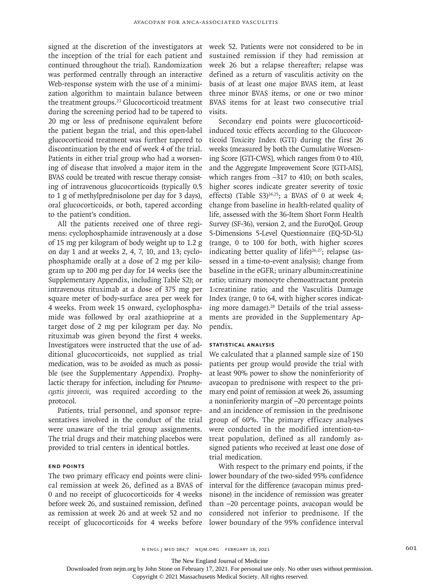signed at the discretion of the investigators at the inception of the trial for each patient and continued throughout the trial). Randomization was performed centrally through an interactive Web-response system with the use of a minimization algorithm to maintain balance between the treatment groups.<sup>23</sup> Glucocorticoid treatment during the screening period had to be tapered to 20 mg or less of prednisone equivalent before the patient began the trial, and this open-label glucocorticoid treatment was further tapered to discontinuation by the end of week 4 of the trial. Patients in either trial group who had a worsening of disease that involved a major item in the BVAS could be treated with rescue therapy consisting of intravenous glucocorticoids (typically 0.5 to 1 g of methylprednisolone per day for 3 days), oral glucocorticoids, or both, tapered according to the patient's condition.

All the patients received one of three regimens: cyclophosphamide intravenously at a dose of 15 mg per kilogram of body weight up to 1.2 g on day 1 and at weeks 2, 4, 7, 10, and 13; cyclophosphamide orally at a dose of 2 mg per kilogram up to 200 mg per day for 14 weeks (see the Supplementary Appendix, including Table S2); or intravenous rituximab at a dose of 375 mg per square meter of body-surface area per week for 4 weeks. From week 15 onward, cyclophosphamide was followed by oral azathioprine at a target dose of 2 mg per kilogram per day. No rituximab was given beyond the first 4 weeks. Investigators were instructed that the use of additional glucocorticoids, not supplied as trial medication, was to be avoided as much as possible (see the Supplementary Appendix). Prophylactic therapy for infection, including for *Pneumocystis jirovecii*, was required according to the protocol.

Patients, trial personnel, and sponsor representatives involved in the conduct of the trial were unaware of the trial group assignments. The trial drugs and their matching placebos were provided to trial centers in identical bottles.

#### **End Points**

The two primary efficacy end points were clinical remission at week 26, defined as a BVAS of 0 and no receipt of glucocorticoids for 4 weeks before week 26, and sustained remission, defined as remission at week 26 and at week 52 and no receipt of glucocorticoids for 4 weeks before

week 52. Patients were not considered to be in sustained remission if they had remission at week 26 but a relapse thereafter; relapse was defined as a return of vasculitis activity on the basis of at least one major BVAS item, at least three minor BVAS items, or one or two minor BVAS items for at least two consecutive trial visits.

Secondary end points were glucocorticoidinduced toxic effects according to the Glucocorticoid Toxicity Index (GTI) during the first 26 weeks (measured by both the Cumulative Worsening Score [GTI-CWS], which ranges from 0 to 410, and the Aggregate Improvement Score [GTI-AIS], which ranges from –317 to 410; on both scales, higher scores indicate greater severity of toxic effects) (Table S3)<sup>24,25</sup>; a BVAS of 0 at week 4; change from baseline in health-related quality of life, assessed with the 36-Item Short Form Health Survey (SF-36), version 2, and the EuroQoL Group 5-Dimensions 5-Level Questionnaire (EQ-5D-5L) (range, 0 to 100 for both, with higher scores indicating better quality of life) $26,27$ ; relapse (assessed in a time-to-event analysis); change from baseline in the eGFR; urinary albumin:creatinine ratio; urinary monocyte chemoattractant protein 1:creatinine ratio; and the Vasculitis Damage Index (range, 0 to 64, with higher scores indicating more damage).<sup>28</sup> Details of the trial assessments are provided in the Supplementary Appendix.

#### **Statistical Analysis**

We calculated that a planned sample size of 150 patients per group would provide the trial with at least 90% power to show the noninferiority of avacopan to prednisone with respect to the primary end point of remission at week 26, assuming a noninferiority margin of −20 percentage points and an incidence of remission in the prednisone group of 60%. The primary efficacy analyses were conducted in the modified intention-totreat population, defined as all randomly assigned patients who received at least one dose of trial medication.

With respect to the primary end points, if the lower boundary of the two-sided 95% confidence interval for the difference (avacopan minus prednisone) in the incidence of remission was greater than −20 percentage points, avacopan would be considered not inferior to prednisone. If the lower boundary of the 95% confidence interval

The New England Journal of Medicine

Downloaded from nejm.org by John Stone on February 17, 2021. For personal use only. No other uses without permission.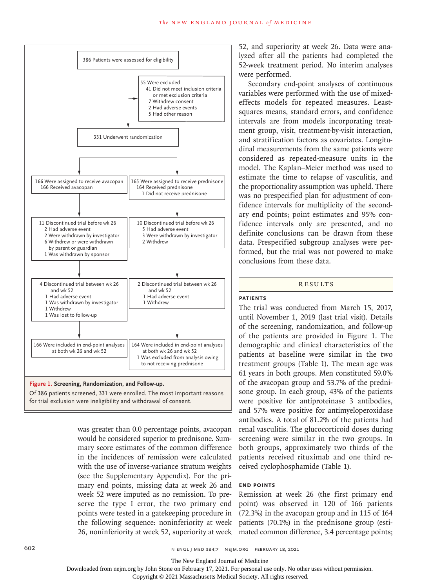

Of 386 patients screened, 331 were enrolled. The most important reasons for trial exclusion were ineligibility and withdrawal of consent.

> was greater than 0.0 percentage points, avacopan would be considered superior to prednisone. Summary score estimates of the common difference in the incidences of remission were calculated with the use of inverse-variance stratum weights (see the Supplementary Appendix). For the primary end points, missing data at week 26 and week 52 were imputed as no remission. To preserve the type I error, the two primary end points were tested in a gatekeeping procedure in the following sequence: noninferiority at week 26, noninferiority at week 52, superiority at week

52, and superiority at week 26. Data were analyzed after all the patients had completed the 52-week treatment period. No interim analyses were performed.

Secondary end-point analyses of continuous variables were performed with the use of mixedeffects models for repeated measures. Leastsquares means, standard errors, and confidence intervals are from models incorporating treatment group, visit, treatment-by-visit interaction, and stratification factors as covariates. Longitudinal measurements from the same patients were considered as repeated-measure units in the model. The Kaplan–Meier method was used to estimate the time to relapse of vasculitis, and the proportionality assumption was upheld. There was no prespecified plan for adjustment of confidence intervals for multiplicity of the secondary end points; point estimates and 95% confidence intervals only are presented, and no definite conclusions can be drawn from these data. Prespecified subgroup analyses were performed, but the trial was not powered to make conclusions from these data.

#### **RESULTS**

### **Patients**

The trial was conducted from March 15, 2017, until November 1, 2019 (last trial visit). Details of the screening, randomization, and follow-up of the patients are provided in Figure 1. The demographic and clinical characteristics of the patients at baseline were similar in the two treatment groups (Table 1). The mean age was 61 years in both groups. Men constituted 59.0% of the avacopan group and 53.7% of the prednisone group. In each group, 43% of the patients were positive for antiproteinase 3 antibodies, and 57% were positive for antimyeloperoxidase antibodies. A total of 81.2% of the patients had renal vasculitis. The glucocorticoid doses during screening were similar in the two groups. In both groups, approximately two thirds of the patients received rituximab and one third received cyclophosphamide (Table 1).

#### **End Points**

Remission at week 26 (the first primary end point) was observed in 120 of 166 patients (72.3%) in the avacopan group and in 115 of 164 patients (70.1%) in the prednisone group (estimated common difference, 3.4 percentage points;

602 n engl j med 384;7 nejm.org February 18, 2021

The New England Journal of Medicine

Downloaded from nejm.org by John Stone on February 17, 2021. For personal use only. No other uses without permission.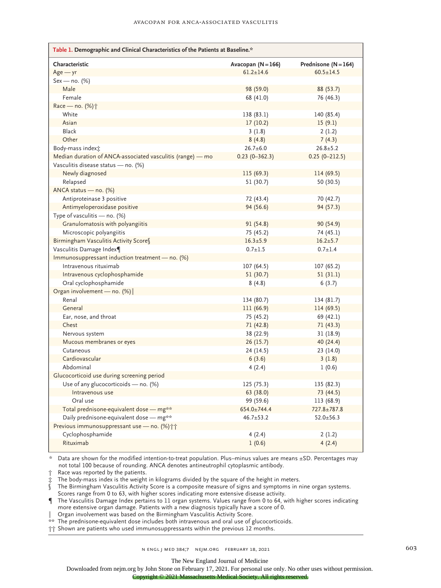| Table 1. Demographic and Clinical Characteristics of the Patients at Baseline.* |                      |                          |  |  |
|---------------------------------------------------------------------------------|----------------------|--------------------------|--|--|
| Characteristic                                                                  | Avacopan $(N = 166)$ | Prednisone ( $N = 164$ ) |  |  |
| $Age - yr$                                                                      | $61.2 \pm 14.6$      | $60.5 \pm 14.5$          |  |  |
| Sex — no. (%)                                                                   |                      |                          |  |  |
| Male                                                                            | 98 (59.0)            | 88 (53.7)                |  |  |
| Female                                                                          | 68 (41.0)            | 76 (46.3)                |  |  |
| Race - no. (%) <sup>+</sup>                                                     |                      |                          |  |  |
| White                                                                           | 138(83.1)            | 140 (85.4)               |  |  |
| Asian                                                                           | 17(10.2)             | 15(9.1)                  |  |  |
| <b>Black</b>                                                                    | 3(1.8)               | 2(1.2)                   |  |  |
| Other                                                                           | 8(4.8)               | 7(4.3)                   |  |  |
| Body-mass indext:                                                               | $26.7 \pm 6.0$       | $26.8 + 5.2$             |  |  |
| Median duration of ANCA-associated vasculitis (range) - mo                      | $0.23(0 - 362.3)$    | $0.25(0 - 212.5)$        |  |  |
| Vasculitis disease status - no. (%)                                             |                      |                          |  |  |
| Newly diagnosed                                                                 | 115 (69.3)           | 114 (69.5)               |  |  |
| Relapsed                                                                        | 51(30.7)             | 50 (30.5)                |  |  |
| ANCA status - no. (%)                                                           |                      |                          |  |  |
| Antiproteinase 3 positive                                                       | 72 (43.4)            | 70 (42.7)                |  |  |
| Antimyeloperoxidase positive                                                    | 94 (56.6)            | 94 (57.3)                |  |  |
| Type of vasculitis - no. (%)                                                    |                      |                          |  |  |
| Granulomatosis with polyangiitis                                                | 91 (54.8)            | 90 (54.9)                |  |  |
| Microscopic polyangiitis                                                        | 75 (45.2)            | 74 (45.1)                |  |  |
| Birmingham Vasculitis Activity Scores                                           | $16.3 \pm 5.9$       | $16.2 \pm 5.7$           |  |  |
| Vasculitis Damage Index¶                                                        | $0.7 + 1.5$          | $0.7 + 1.4$              |  |  |
| Immunosuppressant induction treatment - no. (%)                                 |                      |                          |  |  |
| Intravenous rituximab                                                           | 107(64.5)            | 107(65.2)                |  |  |
| Intravenous cyclophosphamide                                                    | 51 (30.7)            | 51(31.1)                 |  |  |
| Oral cyclophosphamide                                                           | 8(4.8)               | 6(3.7)                   |  |  |
| Organ involvement - no. (%)                                                     |                      |                          |  |  |
| Renal                                                                           | 134 (80.7)           | 134 (81.7)               |  |  |
| General                                                                         | 111(66.9)            | 114 (69.5)               |  |  |
| Ear, nose, and throat                                                           | 75 (45.2)            | 69 (42.1)                |  |  |
| Chest                                                                           | 71(42.8)             | 71(43.3)                 |  |  |
| Nervous system                                                                  | 38 (22.9)            | 31(18.9)                 |  |  |
| Mucous membranes or eyes                                                        | 26(15.7)             | 40 (24.4)                |  |  |
| Cutaneous                                                                       | 24 (14.5)            | 23 (14.0)                |  |  |
| Cardiovascular                                                                  | 6(3.6)               | 3(1.8)                   |  |  |
| Abdominal                                                                       | 4(2.4)               | 1(0.6)                   |  |  |
| Glucocorticoid use during screening period                                      |                      |                          |  |  |
| Use of any glucocorticoids $-$ no. (%)                                          | 125(75.3)            | 135 (82.3)               |  |  |
| Intravenous use                                                                 | 63 (38.0)            | 73 (44.5)                |  |  |
| Oral use                                                                        | 99 (59.6)            | 113 (68.9)               |  |  |
| Total prednisone-equivalent dose - mg**                                         | 654.0±744.4          | $727.8 \pm 787.8$        |  |  |
| Daily prednisone-equivalent dose - mg**                                         | $46.7 \pm 53.2$      | $52.0 \pm 56.3$          |  |  |
| Previous immunosuppressant use - no. (%)                                        |                      |                          |  |  |
| Cyclophosphamide                                                                | 4(2.4)               | 2(1.2)                   |  |  |
| Rituximab                                                                       | 1(0.6)               | 4(2.4)                   |  |  |

\* Data are shown for the modified intention-to-treat population. Plus–minus values are means ±SD. Percentages may not total 100 because of rounding. ANCA denotes antineutrophil cytoplasmic antibody.

† Race was reported by the patients.

The body-mass index is the weight in kilograms divided by the square of the height in meters.

§ The Birmingham Vasculitis Activity Score is a composite measure of signs and symptoms in nine organ systems.

Scores range from 0 to 63, with higher scores indicating more extensive disease activity.

¶ The Vasculitis Damage Index pertains to 11 organ systems. Values range from 0 to 64, with higher scores indicating more extensive organ damage. Patients with a new diagnosis typically have a score of 0.

Organ involvement was based on the Birmingham Vasculitis Activity Score.

 $\hat{\ast}\ast$  The prednisone-equivalent dose includes both intravenous and oral use of glucocorticoids.

†† Shown are patients who used immunosuppressants within the previous 12 months.

n engl j med 384;7 nejm.org February 18, 2021 603

The New England Journal of Medicine

Downloaded from nejm.org by John Stone on February 17, 2021. For personal use only. No other uses without permission.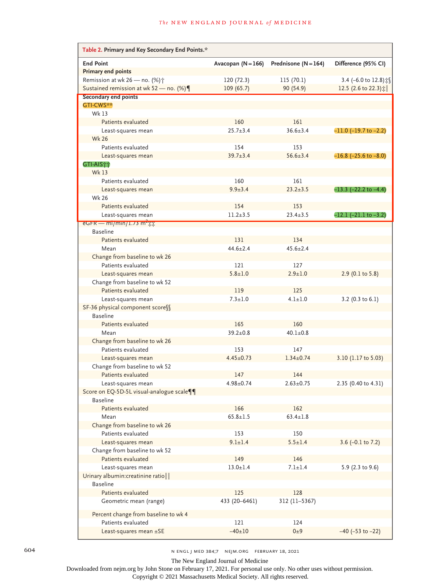| Table 2. Primary and Key Secondary End Points.* |                        |                      |                                    |
|-------------------------------------------------|------------------------|----------------------|------------------------------------|
| <b>End Point</b>                                | Avacopan ( $N = 166$ ) | Prednisone $(N=164)$ | Difference (95% CI)                |
| Primary end points                              |                        |                      |                                    |
| Remission at wk 26 - no. (%) +                  | 120 (72.3)             | 115 (70.1)           | 3.4 (-6.0 to 12.8)                 |
| Sustained remission at wk 52 - no. (%)          | 109(65.7)              | 90 (54.9)            | 12.5 (2.6 to 22.3) $\sharp$        |
| <b>Secondary end points</b>                     |                        |                      |                                    |
| GTI-CWS**                                       |                        |                      |                                    |
| Wk 13                                           |                        |                      |                                    |
| Patients evaluated                              | 160                    | 161                  |                                    |
| Least-squares mean                              | $25.7 + 3.4$           | $36.6 + 3.4$         | $-11.0$ ( $-19.7$ to $-2.2$ )      |
| <b>Wk 26</b>                                    |                        |                      |                                    |
| Patients evaluated                              | 154                    | 153                  |                                    |
| Least-squares mean                              | $39.7 + 3.4$           | $56.6 \pm 3.4$       | $-16.8$ ( $-25.6$ to $-8.0$ )      |
| GTI-AIS††                                       |                        |                      |                                    |
| Wk 13                                           |                        |                      |                                    |
| Patients evaluated                              | 160                    | 161                  |                                    |
| Least-squares mean                              | $9.9 + 3.4$            | $23.2 \pm 3.5$       | $-13.3$ $(-22.2 \text{ to } -4.4)$ |
| <b>Wk 26</b>                                    |                        |                      |                                    |
| Patients evaluated                              | 154                    | 153                  |                                    |
| Least-squares mean                              | $11.2 + 3.5$           | $23.4 \pm 3.5$       | -12.1 (-21.1 to -3.2)              |
| $eGFR$ – ml/min/1.73 m <sup>-1</sup>            |                        |                      |                                    |
| <b>Baseline</b>                                 |                        |                      |                                    |
| Patients evaluated                              | 131                    | 134                  |                                    |
| Mean                                            | $44.6 \pm 2.4$         | $45.6 \pm 2.4$       |                                    |
| Change from baseline to wk 26                   |                        |                      |                                    |
| Patients evaluated                              | 121                    | 127                  |                                    |
| Least-squares mean                              | $5.8 + 1.0$            | $2.9 \pm 1.0$        | $2.9$ (0.1 to 5.8)                 |
| Change from baseline to wk 52                   |                        |                      |                                    |
| Patients evaluated                              | 119                    | 125                  |                                    |
| Least-squares mean                              | $7.3 + 1.0$            | $4.1 \pm 1.0$        | $3.2$ (0.3 to 6.1)                 |
| SF-36 physical component score SS               |                        |                      |                                    |
| <b>Baseline</b>                                 |                        |                      |                                    |
| Patients evaluated                              | 165                    | 160                  |                                    |
| Mean                                            | $39.2 \pm 0.8$         | $40.1 \pm 0.8$       |                                    |
| Change from baseline to wk 26                   |                        |                      |                                    |
| Patients evaluated                              | 153                    | 147                  |                                    |
| Least-squares mean                              | $4.45 \pm 0.73$        | $1.34 \pm 0.74$      | 3.10 (1.17 to 5.03)                |
| Change from baseline to wk 52                   |                        |                      |                                    |
| Patients evaluated                              | 147                    | 144                  |                                    |
| Least-squares mean                              | $4.98 + 0.74$          | $2.63 \pm 0.75$      | 2.35 (0.40 to 4.31)                |
| Score on EQ-5D-5L visual-analogue scale¶¶       |                        |                      |                                    |
| <b>Baseline</b>                                 |                        |                      |                                    |
| Patients evaluated                              | 166                    | 162                  |                                    |
| Mean                                            | $65.8 \pm 1.5$         | $63.4 \pm 1.8$       |                                    |
| Change from baseline to wk 26                   |                        |                      |                                    |
| Patients evaluated                              | 153                    | 150                  |                                    |
| Least-squares mean                              | $9.1 \pm 1.4$          | $5.5 \pm 1.4$        | 3.6 (-0.1 to 7.2)                  |
| Change from baseline to wk 52                   |                        |                      |                                    |
| Patients evaluated                              | 149                    | 146                  |                                    |
| Least-squares mean                              | $13.0 \pm 1.4$         | $7.1 \pm 1.4$        | 5.9 (2.3 to 9.6)                   |
| Urinary albumin: creatinine ratio               |                        |                      |                                    |
| <b>Baseline</b>                                 |                        |                      |                                    |
| Patients evaluated                              | 125                    | 128                  |                                    |
| Geometric mean (range)                          | 433 (20-6461)          | 312 (11-5367)        |                                    |
|                                                 |                        |                      |                                    |
| Percent change from baseline to wk 4            |                        |                      |                                    |
| Patients evaluated                              | 121                    | 124                  |                                    |
| Least-squares mean $\pm$ SE                     | $-40 \pm 10$           | 0±9                  | $-40$ ( $-53$ to $-22$ )           |

604 n engl j med 384;7 nejm.org February 18, 2021

The New England Journal of Medicine

Downloaded from nejm.org by John Stone on February 17, 2021. For personal use only. No other uses without permission.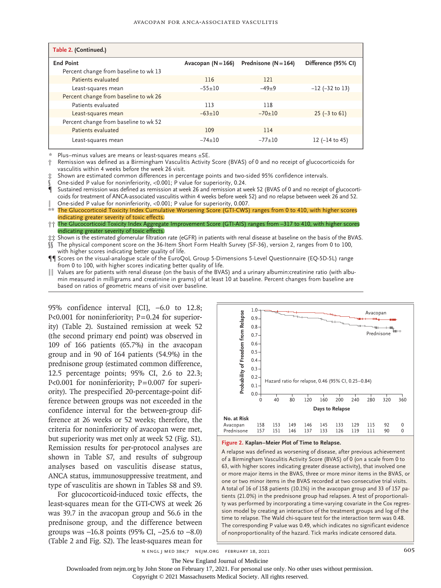| Table 2. (Continued.)                 |                    |                      |                           |
|---------------------------------------|--------------------|----------------------|---------------------------|
| <b>End Point</b>                      | Avacopan $(N=166)$ | Prednisone $(N=164)$ | Difference (95% CI)       |
| Percent change from baseline to wk 13 |                    |                      |                           |
| Patients evaluated                    | 116                | 121                  |                           |
| Least-squares mean                    | $-55+10$           | $-49+9$              | $-12$ ( $-32$ to 13)      |
| Percent change from baseline to wk 26 |                    |                      |                           |
| Patients evaluated                    | 113                | 118                  |                           |
| Least-squares mean                    | $-63 \pm 10$       | $-70+10$             | $25$ (-3 to 61)           |
| Percent change from baseline to wk 52 |                    |                      |                           |
| Patients evaluated                    | 109                | 114                  |                           |
| Least-squares mean                    | $-74+10$           | $-77+10$             | 12 $(-14 \text{ to } 45)$ |

Plus–minus values are means or least-squares means  $\pm$ SE.

† Remission was defined as a Birmingham Vasculitis Activity Score (BVAS) of 0 and no receipt of glucocorticoids for vasculitis within 4 weeks before the week 26 visit.

Shown are estimated common differences in percentage points and two-sided 95% confidence intervals.

§ One-sided P value for noninferiority, <0.001; P value for superiority, 0.24.

¶ Sustained remission was defined as remission at week 26 and remission at week 52 (BVAS of 0 and no receipt of glucocorticoids for treatment of ANCA-associated vasculitis within 4 weeks before week 52) and no relapse between week 26 and 52.

One-sided P value for noninferiority, <0.001; P value for superiority, 0.007.

\*\* The Glucocorticoid Toxicity Index Cumulative Worsening Score (GTI-CWS) ranges from 0 to 410, with higher scores indicating greater severity of toxic effects.

†† The Glucocorticoid Toxicity Index Aggregate Improvement Score (GTI-AIS) ranges from –317 to 410, with higher scores indicating greater severity of toxic effects.

‡‡ Shown is the estimated glomerular filtration rate (eGFR) in patients with renal disease at baseline on the basis of the BVAS.

§§ The physical component score on the 36-Item Short Form Health Survey (SF-36), version 2, ranges from 0 to 100, with higher scores indicating better quality of life.

¶¶ Scores on the visual-analogue scale of the EuroQoL Group 5-Dimensions 5-Level Questionnaire (EQ-5D-5L) range from 0 to 100, with higher scores indicating better quality of life.

Values are for patients with renal disease (on the basis of the BVAS) and a urinary albumin:creatinine ratio (with albumin measured in milligrams and creatinine in grams) of at least 10 at baseline. Percent changes from baseline are based on ratios of geometric means of visit over baseline.

95% confidence interval [CI], −6.0 to 12.8; P<0.001 for noninferiority;  $P=0.24$  for superiority) (Table 2). Sustained remission at week 52 (the second primary end point) was observed in 109 of 166 patients (65.7%) in the avacopan group and in 90 of 164 patients (54.9%) in the prednisone group (estimated common difference, 12.5 percentage points; 95% CI, 2.6 to 22.3;  $P<0.001$  for noninferiority;  $P=0.007$  for superiority). The prespecified 20-percentage-point difference between groups was not exceeded in the confidence interval for the between-group difference at 26 weeks or 52 weeks; therefore, the criteria for noninferiority of avacopan were met, but superiority was met only at week 52 (Fig. S1). Remission results for per-protocol analyses are shown in Table S7, and results of subgroup analyses based on vasculitis disease status, ANCA status, immunosuppressive treatment, and type of vasculitis are shown in Tables S8 and S9.

For glucocorticoid-induced toxic effects, the least-squares mean for the GTI-CWS at week 26 was 39.7 in the avacopan group and 56.6 in the prednisone group, and the difference between groups was −16.8 points (95% CI, −25.6 to −8.0) (Table 2 and Fig. S2). The least-squares mean for



**Figure 2. Kaplan–Meier Plot of Time to Relapse.**

A relapse was defined as worsening of disease, after previous achievement of a Birmingham Vasculitis Activity Score (BVAS) of 0 (on a scale from 0 to 63, with higher scores indicating greater disease activity), that involved one or more major items in the BVAS, three or more minor items in the BVAS, or one or two minor items in the BVAS recorded at two consecutive trial visits. A total of 16 of 158 patients (10.1%) in the avacopan group and 33 of 157 patients (21.0%) in the prednisone group had relapses. A test of proportionality was performed by incorporating a time-varying covariate in the Cox regression model by creating an interaction of the treatment groups and log of the time to relapse. The Wald chi-square test for the interaction term was 0.48. The corresponding P value was 0.49, which indicates no significant evidence

n engl j med 384;7 nejm.org February 18, 2021 605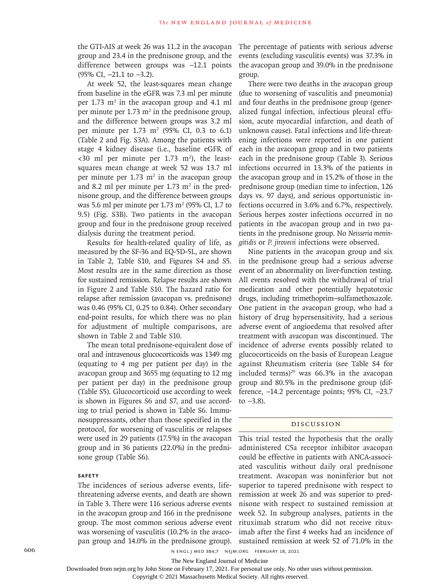the GTI-AIS at week 26 was 11.2 in the avacopan group and 23.4 in the prednisone group, and the difference between groups was −12.1 points (95% CI, −21.1 to −3.2).

At week 52, the least-squares mean change from baseline in the eGFR was 7.3 ml per minute per 1.73  $m<sup>2</sup>$  in the avacopan group and 4.1 ml per minute per  $1.73 \text{ m}^2$  in the prednisone group, and the difference between groups was 3.2 ml per minute per  $1.73 \text{ m}^2$  (95% CI, 0.3 to 6.1) (Table 2 and Fig. S3A). Among the patients with stage 4 kidney disease (i.e., baseline eGFR of  $<30$  ml per minute per 1.73 m<sup>2</sup>), the leastsquares mean change at week 52 was 13.7 ml per minute per  $1.73 \text{ m}^2$  in the avacopan group and 8.2 ml per minute per 1.73  $m<sup>2</sup>$  in the prednisone group, and the difference between groups was 5.6 ml per minute per  $1.73 \text{ m}^2$  (95% CI, 1.7 to 9.5) (Fig. S3B). Two patients in the avacopan group and four in the prednisone group received dialysis during the treatment period.

Results for health-related quality of life, as measured by the SF-36 and EQ-5D-5L, are shown in Table 2, Table S10, and Figures S4 and S5. Most results are in the same direction as those for sustained remission. Relapse results are shown in Figure 2 and Table S10. The hazard ratio for relapse after remission (avacopan vs. prednisone) was 0.46 (95% CI, 0.25 to 0.84). Other secondary end-point results, for which there was no plan for adjustment of multiple comparisons, are shown in Table 2 and Table S10.

The mean total prednisone-equivalent dose of oral and intravenous glucocorticoids was 1349 mg (equating to 4 mg per patient per day) in the avacopan group and 3655 mg (equating to 12 mg per patient per day) in the prednisone group (Table S5). Glucocorticoid use according to week is shown in Figures S6 and S7, and use according to trial period is shown in Table S6. Immunosuppressants, other than those specified in the protocol, for worsening of vasculitis or relapses were used in 29 patients (17.5%) in the avacopan group and in 36 patients (22.0%) in the prednisone group (Table S6).

#### **Safety**

The incidences of serious adverse events, lifethreatening adverse events, and death are shown in Table 3. There were 116 serious adverse events in the avacopan group and 166 in the prednisone group. The most common serious adverse event was worsening of vasculitis (10.2% in the avacopan group and 14.0% in the prednisone group).

The percentage of patients with serious adverse events (excluding vasculitis events) was 37.3% in the avacopan group and 39.0% in the prednisone group.

There were two deaths in the avacopan group (due to worsening of vasculitis and pneumonia) and four deaths in the prednisone group (generalized fungal infection, infectious pleural effusion, acute myocardial infarction, and death of unknown cause). Fatal infections and life-threatening infections were reported in one patient each in the avacopan group and in two patients each in the prednisone group (Table 3). Serious infections occurred in 13.3% of the patients in the avacopan group and in 15.2% of those in the prednisone group (median time to infection, 126 days vs. 97 days), and serious opportunistic infections occurred in 3.6% and 6.7%, respectively. Serious herpes zoster infections occurred in no patients in the avacopan group and in two patients in the prednisone group. No *Neisseria meningitidis* or *P. jirovecii* infections were observed.

Nine patients in the avacopan group and six in the prednisone group had a serious adverse event of an abnormality on liver-function testing. All events resolved with the withdrawal of trial medication and other potentially hepatotoxic drugs, including trimethoprim–sulfamethoxazole. One patient in the avacopan group, who had a history of drug hypersensitivity, had a serious adverse event of angioedema that resolved after treatment with avacopan was discontinued. The incidence of adverse events possibly related to glucocorticoids on the basis of European League against Rheumatism criteria (see Table S4 for included terms) $29$  was 66.3% in the avacopan group and 80.5% in the prednisone group (difference, −14.2 percentage points; 95% CI, −23.7 to −3.8).

#### Discussion

This trial tested the hypothesis that the orally administered C5a receptor inhibitor avacopan could be effective in patients with ANCA-associated vasculitis without daily oral prednisone treatment. Avacopan was noninferior but not superior to tapered prednisone with respect to remission at week 26 and was superior to prednisone with respect to sustained remission at week 52. In subgroup analyses, patients in the rituximab stratum who did not receive rituximab after the first 4 weeks had an incidence of sustained remission at week 52 of 71.0% in the

606 n engl j med 384;7 nejm.org February 18, 2021

The New England Journal of Medicine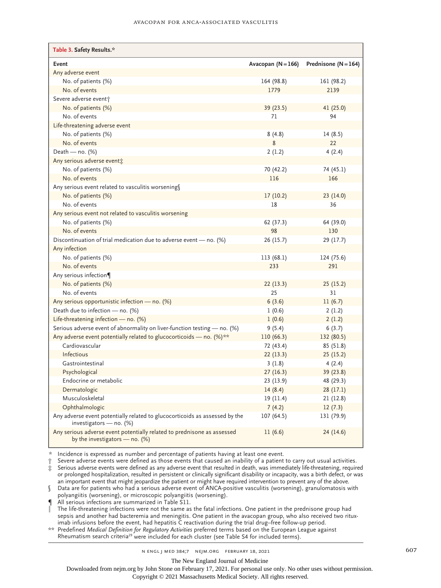| Table 3. Safety Results.*                                                                                   |                    |                          |
|-------------------------------------------------------------------------------------------------------------|--------------------|--------------------------|
| Event                                                                                                       | Avacopan $(N=166)$ | Prednisone ( $N = 164$ ) |
| Any adverse event                                                                                           |                    |                          |
| No. of patients (%)                                                                                         | 164 (98.8)         | 161 (98.2)               |
| No. of events                                                                                               | 1779               | 2139                     |
| Severe adverse event+                                                                                       |                    |                          |
| No. of patients (%)                                                                                         | 39 (23.5)          | 41 (25.0)                |
| No. of events                                                                                               | 71                 | 94                       |
| Life-threatening adverse event                                                                              |                    |                          |
| No. of patients (%)                                                                                         | 8(4.8)             | 14(8.5)                  |
| No. of events                                                                                               | 8                  | 22                       |
| Death — $no.$ (%)                                                                                           | 2(1.2)             | 4(2.4)                   |
| Any serious adverse event;                                                                                  |                    |                          |
| No. of patients (%)                                                                                         | 70 (42.2)          | 74 (45.1)                |
| No. of events                                                                                               | 116                | 166                      |
| Any serious event related to vasculitis worsening                                                           |                    |                          |
| No. of patients (%)                                                                                         | 17 (10.2)          | 23 (14.0)                |
| No. of events                                                                                               | 18                 | 36                       |
| Any serious event not related to vasculitis worsening                                                       |                    |                          |
| No. of patients (%)                                                                                         | 62 (37.3)          | 64 (39.0)                |
| No. of events                                                                                               | 98                 | 130                      |
| Discontinuation of trial medication due to adverse event $-$ no. (%)                                        | 26 (15.7)          | 29 (17.7)                |
| Any infection                                                                                               |                    |                          |
| No. of patients (%)                                                                                         | 113 (68.1)         | 124 (75.6)               |
| No. of events                                                                                               | 233                | 291                      |
| Any serious infection¶                                                                                      |                    |                          |
| No. of patients (%)                                                                                         | 22(13.3)           | 25(15.2)                 |
| No. of events                                                                                               | 25                 | 31                       |
| Any serious opportunistic infection - no. (%)                                                               | 6(3.6)             | 11(6.7)                  |
| Death due to infection - no. (%)                                                                            | 1(0.6)             | 2(1.2)                   |
| Life-threatening infection $-$ no. (%)                                                                      | 1(0.6)             | 2(1.2)                   |
| Serious adverse event of abnormality on liver-function testing — no. (%)                                    | 9(5.4)             | 6(3.7)                   |
| Any adverse event potentially related to glucocorticoids — no. $(\%)$ **                                    | 110 (66.3)         | 132 (80.5)               |
| Cardiovascular                                                                                              | 72 (43.4)          | 85 (51.8)                |
| Infectious                                                                                                  | 22(13.3)           | 25(15.2)                 |
| Gastrointestinal                                                                                            | 3(1.8)             | 4(2.4)                   |
| Psychological                                                                                               | 27(16.3)           | 39 (23.8)                |
| Endocrine or metabolic                                                                                      | 23 (13.9)          | 48 (29.3)                |
| Dermatologic                                                                                                | 14(8.4)            | 28(17.1)                 |
| Musculoskeletal                                                                                             | 19 (11.4)          | 21 (12.8)                |
| Ophthalmologic                                                                                              | 7(4.2)             | 12(7.3)                  |
| Any adverse event potentially related to glucocorticoids as assessed by the<br>investigators — no. $(\%)$   | 107 (64.5)         | 131 (79.9)               |
| Any serious adverse event potentially related to prednisone as assessed<br>by the investigators $-$ no. (%) | 11(6.6)            | 24 (14.6)                |

\* Incidence is expressed as number and percentage of patients having at least one event.

† Severe adverse events were defined as those events that caused an inability of a patient to carry out usual activities. ‡ Serious adverse events were defined as any adverse event that resulted in death, was immediately life-threatening, required or prolonged hospitalization, resulted in persistent or clinically significant disability or incapacity, was a birth defect, or was an important event that might jeopardize the patient or might have required intervention to prevent any of the above. § Data are for patients who had a serious adverse event of ANCA-positive vasculitis (worsening), granulomatosis with

polyangiitis (worsening), or microscopic polyangiitis (worsening).

All serious infections are summarized in Table S11.

The life-threatening infections were not the same as the fatal infections. One patient in the prednisone group had sepsis and another had bacteremia and meningitis. One patient in the avacopan group, who also received two rituximab infusions before the event, had hepatitis C reactivation during the trial drug–free follow-up period.

\*\* Predefined *Medical Definition for Regulatory Activities* preferred terms based on the European League against Rheumatism search criteria<sup>29</sup> were included for each cluster (see Table S4 for included terms).

n engl j med 384;7 nejm.org February 18, 2021 607

Downloaded from nejm.org by John Stone on February 17, 2021. For personal use only. No other uses without permission.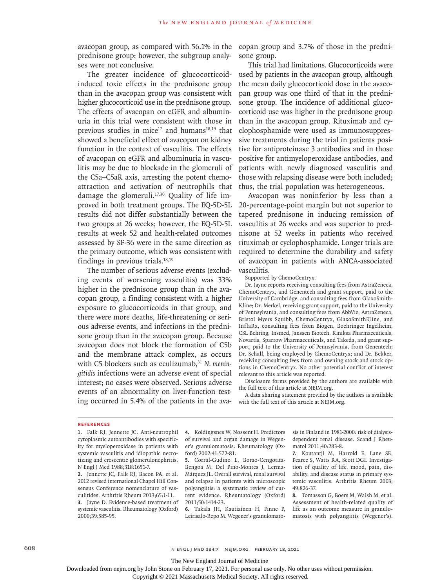avacopan group, as compared with 56.1% in the prednisone group; however, the subgroup analyses were not conclusive.

The greater incidence of glucocorticoidinduced toxic effects in the prednisone group than in the avacopan group was consistent with higher glucocorticoid use in the prednisone group. The effects of avacopan on eGFR and albuminuria in this trial were consistent with those in previous studies in mice<sup>17</sup> and humans<sup>18,19</sup> that showed a beneficial effect of avacopan on kidney function in the context of vasculitis. The effects of avacopan on eGFR and albuminuria in vasculitis may be due to blockade in the glomeruli of the C5a–C5aR axis, arresting the potent chemoattraction and activation of neutrophils that damage the glomeruli.<sup>17,30</sup> Quality of life improved in both treatment groups. The EQ-5D-5L results did not differ substantially between the two groups at 26 weeks; however, the EQ-5D-5L results at week 52 and health-related outcomes assessed by SF-36 were in the same direction as the primary outcome, which was consistent with findings in previous trials.18,19

The number of serious adverse events (excluding events of worsening vasculitis) was 33% higher in the prednisone group than in the avacopan group, a finding consistent with a higher exposure to glucocorticoids in that group, and there were more deaths, life-threatening or serious adverse events, and infections in the prednisone group than in the avacopan group. Because avacopan does not block the formation of C5b and the membrane attack complex, as occurs with C5 blockers such as eculizumab,<sup>31</sup> N. menin*gitidis* infections were an adverse event of special interest; no cases were observed. Serious adverse events of an abnormality on liver-function testing occurred in 5.4% of the patients in the avacopan group and 3.7% of those in the prednisone group.

This trial had limitations. Glucocorticoids were used by patients in the avacopan group, although the mean daily glucocorticoid dose in the avacopan group was one third of that in the prednisone group. The incidence of additional glucocorticoid use was higher in the prednisone group than in the avacopan group. Rituximab and cyclophosphamide were used as immunosuppressive treatments during the trial in patients positive for antiproteinase 3 antibodies and in those positive for antimyeloperoxidase antibodies, and patients with newly diagnosed vasculitis and those with relapsing disease were both included; thus, the trial population was heterogeneous.

Avacopan was noninferior by less than a 20-percentage-point margin but not superior to tapered prednisone in inducing remission of vasculitis at 26 weeks and was superior to prednisone at 52 weeks in patients who received rituximab or cyclophosphamide. Longer trials are required to determine the durability and safety of avacopan in patients with ANCA-associated vasculitis.

Supported by ChemoCentryx.

Dr. Jayne reports receiving consulting fees from AstraZeneca, ChemoCentryx, and Genentech and grant support, paid to the University of Cambridge, and consulting fees from GlaxoSmith-Kline; Dr. Merkel, receiving grant support, paid to the University of Pennsylvania, and consulting fees from AbbVie, AstraZeneca, Bristol Myers Squibb, ChemoCentryx, GlaxoSmithKline, and InflaRx, consulting fees from Biogen, Boehringer Ingelheim, CSL Behring, Insmed, Janssen Biotech, Kiniksa Pharmaceuticals, Novartis, Sparrow Pharmaceuticals, and Takeda, and grant support, paid to the University of Pennsylvania, from Genentech; Dr. Schall, being employed by ChemoCentryx; and Dr. Bekker, receiving consulting fees from and owning stock and stock options in ChemoCentryx. No other potential conflict of interest relevant to this article was reported.

Disclosure forms provided by the authors are available with the full text of this article at NEJM.org.

A data sharing statement provided by the authors is available with the full text of this article at NEJM.org.

#### **References**

**3.** Jayne D. Evidence-based treatment of systemic vasculitis. Rheumatology (Oxford) 2000;39:585-95.

**4.** Koldingsnes W, Nossent H. Predictors of survival and organ damage in Wegener's granulomatosis. Rheumatology (Oxford) 2002;41:572-81.

**5.** Corral-Gudino L, Borao-Cengotita-Bengoa M, Del Pino-Montes J, Lerma-Márquez JL. Overall survival, renal survival and relapse in patients with microscopic polyangiitis: a systematic review of current evidence. Rheumatology (Oxford) 2011;50:1414-23.

**6.** Takala JH, Kautiainen H, Finne P, Leirisalo-Repo M. Wegener's granulomatosis in Finland in 1981-2000: risk of dialysisdependent renal disease. Scand J Rheumatol 2011;40:283-8.

**7.** Koutantji M, Harrold E, Lane SE, Pearce S, Watts RA, Scott DGI. Investigation of quality of life, mood, pain, disability, and disease status in primary systemic vasculitis. Arthritis Rheum 2003; 49:826-37.

**8.** Tomasson G, Boers M, Walsh M, et al. Assessment of health-related quality of life as an outcome measure in granulomatosis with polyangiitis (Wegener's).

608 n engl j med 384;7 nejm.org February 18, 2021

The New England Journal of Medicine

Downloaded from nejm.org by John Stone on February 17, 2021. For personal use only. No other uses without permission.

**<sup>1.</sup>** Falk RJ, Jennette JC. Anti-neutrophil cytoplasmic autoantibodies with specificity for myeloperoxidase in patients with systemic vasculitis and idiopathic necrotizing and crescentic glomerulonephritis. N Engl J Med 1988;318:1651-7.

**<sup>2.</sup>** Jennette JC, Falk RJ, Bacon PA, et al. 2012 revised international Chapel Hill Consensus Conference nomenclature of vasculitides. Arthritis Rheum 2013;65:1-11.